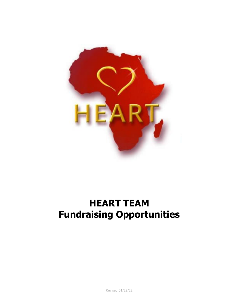

# **HEART TEAM Fundraising Opportunities**

Revised 01/22/22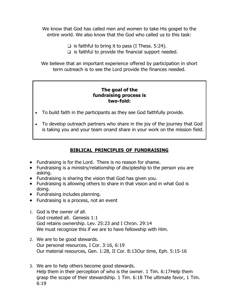We know that God has called men and women to take His gospel to the entire world. We also know that the God who called us to this task:

 $\Box$  is faithful to bring it to pass (I Thess. 5:24).

❏ is faithful to provide the financial support needed.

We believe that an important experience offered by participation in short term outreach is to see the Lord provide the finances needed.

#### **The goal of the fundraising process is two-fold:**

- To build faith in the participants as they see God faithfully provide.
- To develop outreach partners who share in the joy of the journey that God is taking you and your team onand share in your work on the mission field.

### **BIBLICAL PRINCIPLES OF FUNDRAISING**

- Fundraising is for the Lord. There is no reason for shame.
- Fundraising is a ministry/relationship of discipleship to the person you are asking.
- Fundraising is sharing the vision that God has given you.
- Fundraising is allowing others to share in that vision and in what God is doing.
- Fundraising includes planning.
- Fundraising is a process, not an event
- 1. God is the owner of all. God created all. Genesis 1:1 God retains ownership. Lev. 25:23 and I Chron. 29:14 We must recognize this if we are to have fellowship with Him.
- 2. We are to be good stewards. Our personal resources, I Cor. 3:16, 6:19 Our material resources, Gen. 1:28, II Cor. 8:13Our time, Eph. 5:15-16
- 3. We are to help others become good stewards. Help them in their perception of who is the owner. 1 Tim. 6:17Help them grasp the scope of their stewardship. 1 Tim. 6:18 The ultimate favor, 1 Tim. 6:19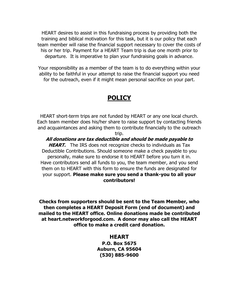HEART desires to assist in this fundraising process by providing both the training and biblical motivation for this task, but it is our policy that each team member will raise the financial support necessary to cover the costs of his or her trip. Payment for a HEART Team trip is due one month prior to departure. It is imperative to plan your fundraising goals in advance.

Your responsibility as a member of the team is to do everything within your ability to be faithful in your attempt to raise the financial support you need for the outreach, even if it might mean personal sacrifice on your part.

## **POLICY**

HEART short-term trips are not funded by HEART or any one local church. Each team member does his/her share to raise support by contacting friends and acquaintances and asking them to contribute financially to the outreach

trip.

#### **All donations are tax deductible and should be made payable to**

**HEART.** The IRS does not recognize checks to individuals as Tax Deductible Contributions. Should someone make a check payable to you personally, make sure to endorse it to HEART before you turn it in. Have contributors send all funds to you, the team member, and you send them on to HEART with this form to ensure the funds are designated for your support. **Please make sure you send a thank-you to all your contributors!**

**Checks from supporters should be sent to the Team Member, who then completes a HEART Deposit Form (end of document) and mailed to the HEART office. Online donations made be contributed at heart.networkforgood.com. A donor may also call the HEART office to make a credit card donation.**

#### **HEART**

**P.O. Box 5675 Auburn, CA 95604 (530) 885-9600**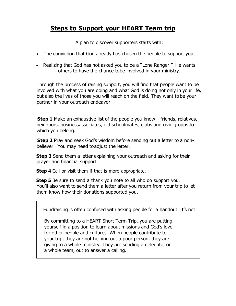## **Steps to Support your HEART Team trip**

A plan to discover supporters starts with:

- The conviction that God already has chosen the people to support you.
- Realizing that God has not asked you to be a "Lone Ranger." He wants others to have the chance tobe involved in your ministry.

Through the process of raising support, you will find that people want to be involved with what you are doing and what God is doing not only in your life, but also the lives of those you will reach on the field. They want to be your partner in your outreach endeavor.

**Step 1** Make an exhaustive list of the people you know – friends, relatives, neighbors, businessassociates, old schoolmates, clubs and civic groups to which you belong.

 **Step 2** Pray and seek God's wisdom before sending out a letter to a nonbeliever. You may need toadjust the letter.

 **Step 3** Send them a letter explaining your outreach and asking for their prayer and financial support.

**Step 4** Call or visit them if that is more appropriate.

 **Step 5** Be sure to send a thank you note to all who do support you. You'll also want to send them a letter after you return from your trip to let them know how their donations supported you.

Fundraising is often confused with asking people for a handout. It's not!

 By committing to a HEART Short Term Trip, you are putting yourself in a position to learn about missions and God's love for other people and cultures. When people contribute to your trip, they are not helping out a poor person, they are giving to a whole ministry. They are sending a delegate, or a whole team, out to answer a calling.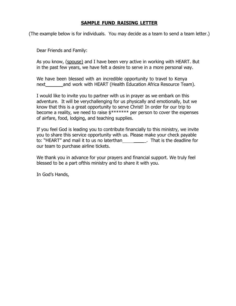#### **SAMPLE FUND RAISING LETTER**

(The example below is for individuals. You may decide as a team to send a team letter.)

Dear Friends and Family:

As you know, (spouse) and I have been very active in working with HEART. But in the past few years, we have felt a desire to serve in a more personal way.

We have been blessed with an incredible opportunity to travel to Kenya next\_\_\_\_\_\_\_and work with HEART (Health Education Africa Resource Team).

I would like to invite you to partner with us in prayer as we embark on this adventure. It will be verychallenging for us physically and emotionally, but we know that this is a great opportunity to serve Christ! In order for our trip to become a reality, we need to raise \$\*\*\*\*\*\*\* per person to cover the expenses of airfare, food, lodging, and teaching supplies.

If you feel God is leading you to contribute financially to this ministry, we invite you to share this service opportunity with us. Please make your check payable to: "HEART" and mail it to us no laterthan \_\_\_\_\_\_\_\_\_. That is the deadline for our team to purchase airline tickets.

We thank you in advance for your prayers and financial support. We truly feel blessed to be a part ofthis ministry and to share it with you.

In God's Hands,